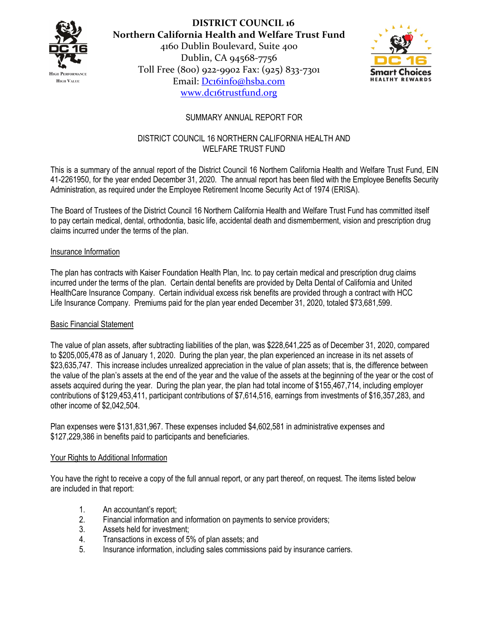

**DISTRICT COUNCIL 16 Northern California Health and Welfare Trust Fund** 4160 Dublin Boulevard, Suite 400 Dublin, CA 94568-7756 Toll Free (800) 922-9902 Fax: (925) 833-7301 Email: [Dc16info@hsba.com](mailto:Dc16info@hsba.com) [www.dc16trustfund.org](http://www.dc16trustfund.org/)



# SUMMARY ANNUAL REPORT FOR

## DISTRICT COUNCIL 16 NORTHERN CALIFORNIA HEALTH AND WELFARE TRUST FUND

This is a summary of the annual report of the District Council 16 Northern California Health and Welfare Trust Fund, EIN 41-2261950, for the year ended December 31, 2020. The annual report has been filed with the Employee Benefits Security Administration, as required under the Employee Retirement Income Security Act of 1974 (ERISA).

The Board of Trustees of the District Council 16 Northern California Health and Welfare Trust Fund has committed itself to pay certain medical, dental, orthodontia, basic life, accidental death and dismemberment, vision and prescription drug claims incurred under the terms of the plan.

#### Insurance Information

The plan has contracts with Kaiser Foundation Health Plan, Inc. to pay certain medical and prescription drug claims incurred under the terms of the plan. Certain dental benefits are provided by Delta Dental of California and United HealthCare Insurance Company. Certain individual excess risk benefits are provided through a contract with HCC Life Insurance Company. Premiums paid for the plan year ended December 31, 2020, totaled \$73,681,599.

## Basic Financial Statement

The value of plan assets, after subtracting liabilities of the plan, was \$228,641,225 as of December 31, 2020, compared to \$205,005,478 as of January 1, 2020. During the plan year, the plan experienced an increase in its net assets of \$23,635,747. This increase includes unrealized appreciation in the value of plan assets; that is, the difference between the value of the plan's assets at the end of the year and the value of the assets at the beginning of the year or the cost of assets acquired during the year. During the plan year, the plan had total income of \$155,467,714, including employer contributions of \$129,453,411, participant contributions of \$7,614,516, earnings from investments of \$16,357,283, and other income of \$2,042,504.

Plan expenses were \$131,831,967. These expenses included \$4,602,581 in administrative expenses and \$127,229,386 in benefits paid to participants and beneficiaries.

## Your Rights to Additional Information

You have the right to receive a copy of the full annual report, or any part thereof, on request. The items listed below are included in that report:

- 1. An accountant's report;
- 2. Financial information and information on payments to service providers;
- 3. Assets held for investment;
- 4. Transactions in excess of 5% of plan assets; and
- 5. Insurance information, including sales commissions paid by insurance carriers.